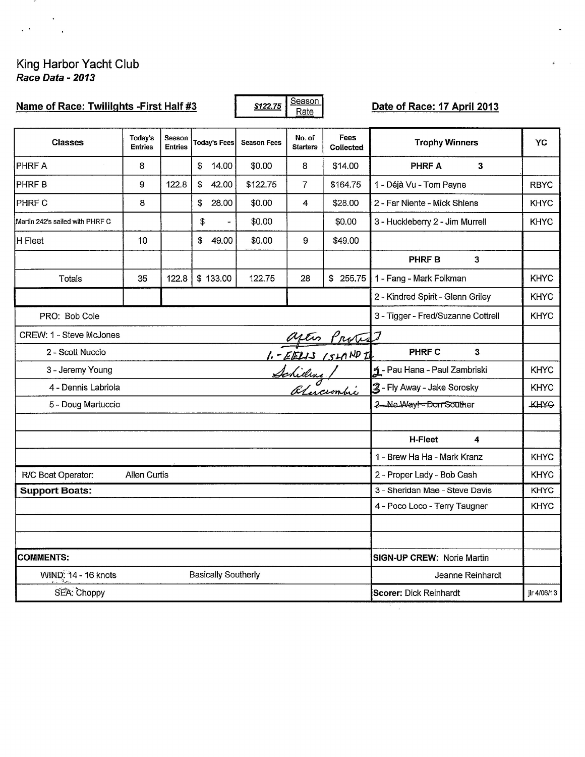# King Harbor Yacht Club<br>Race Data - 2013

 $\overline{\phantom{a}}$ 

 $\mathbf{q}$  .  $\mathbf{q}$ 

| Name of Race: Twililghts -First Half #3 |                           |                          |                            | \$122.75           | Season<br>Rate            |                          | Date of Race: 17 April 2013        |              |
|-----------------------------------------|---------------------------|--------------------------|----------------------------|--------------------|---------------------------|--------------------------|------------------------------------|--------------|
| <b>Classes</b>                          | Today's<br><b>Entries</b> | Season<br><b>Entries</b> | <b>Today's Fees</b>        | <b>Season Fees</b> | No. of<br><b>Starters</b> | Fees<br><b>Collected</b> | <b>Trophy Winners</b>              | YC           |
| <b>PHRFA</b>                            | 8                         |                          | \$<br>14.00                | \$0.00             | 8                         | \$14.00                  | <b>PHRF A</b><br>3                 |              |
| <b>PHRFB</b>                            | 9                         | 122.8                    | \$<br>42.00                | \$122.75           | $\overline{7}$            | \$164.75                 | 1 - Déjà Vu - Tom Payne            | <b>RBYC</b>  |
| PHRF C                                  | 8                         |                          | \$<br>28.00                | \$0.00             | 4                         | \$28.00                  | 2 - Far Niente - Mick Shlens       | <b>KHYC</b>  |
| Martin 242's sailed with PHRF C         |                           |                          | \$                         | \$0.00             |                           | \$0.00                   | 3 - Huckleberry 2 - Jim Murrell    | <b>KHYC</b>  |
| H Fleet                                 | 10                        |                          | \$<br>49.00                | \$0.00             | 9                         | \$49.00                  |                                    |              |
|                                         |                           |                          |                            |                    |                           |                          | <b>PHRF B</b><br>$\mathbf{3}$      |              |
| Totals                                  | 35                        | 122.8                    | \$133.00                   | 122.75             | 28                        | \$255.75                 | 1 - Fang - Mark Folkman            | <b>KHYC</b>  |
|                                         |                           |                          |                            |                    |                           |                          | 2 - Kindred Spirit - Glenn Griley  | <b>KHYC</b>  |
| PRO: Bob Cole                           |                           |                          |                            |                    |                           |                          | 3 - Tigger - Fred/Suzanne Cottrell | <b>KHYC</b>  |
| CREW: 1 - Steve McJones                 |                           |                          |                            |                    |                           |                          |                                    |              |
| 2 - Scott Nuccio                        |                           |                          |                            |                    |                           | after Protest            | <b>PHRF C</b><br>$\mathbf{3}$      |              |
| 3 - Jeremy Young                        |                           |                          |                            |                    |                           |                          | 1 - Pau Hana - Paul Zambriski      | <b>KHYC</b>  |
| 4 - Dennis Labriola                     |                           |                          |                            |                    |                           | Schiden /                | 2- Fly Away - Jake Sorosky         | <b>KHYC</b>  |
| 5 - Doug Martuccio                      |                           |                          |                            |                    |                           |                          | 3-No Way!-Don Souther              | <b>TKHAO</b> |
|                                         |                           |                          |                            |                    |                           |                          |                                    |              |
|                                         |                           |                          |                            |                    |                           |                          | H-Fleet<br>4                       |              |
|                                         |                           |                          |                            |                    |                           |                          | 1 - Brew Ha Ha - Mark Kranz        | <b>KHYC</b>  |
| R/C Boat Operator:                      | Allen Curtis              |                          |                            |                    |                           |                          | 2 - Proper Lady - Bob Cash         | <b>KHYC</b>  |
| <b>Support Boats:</b>                   |                           |                          |                            |                    |                           |                          | 3 - Sheridan Mae - Steve Davis     | <b>KHYC</b>  |
|                                         |                           |                          |                            |                    |                           |                          | 4 - Poco Loco - Terry Taugner      | <b>KHYC</b>  |
|                                         |                           |                          |                            |                    |                           |                          |                                    |              |
|                                         |                           |                          |                            |                    |                           |                          |                                    |              |
| <b>COMMENTS:</b>                        |                           |                          |                            |                    |                           |                          | SIGN-UP CREW: Norie Martin         |              |
| WIND: 14 - 16 knots                     |                           |                          | <b>Basically Southerly</b> |                    |                           |                          | Jeanne Reinhardt                   |              |
| SEA: Choppy                             |                           |                          |                            |                    |                           |                          | Scorer: Dick Reinhardt             | jlr 4/06/13  |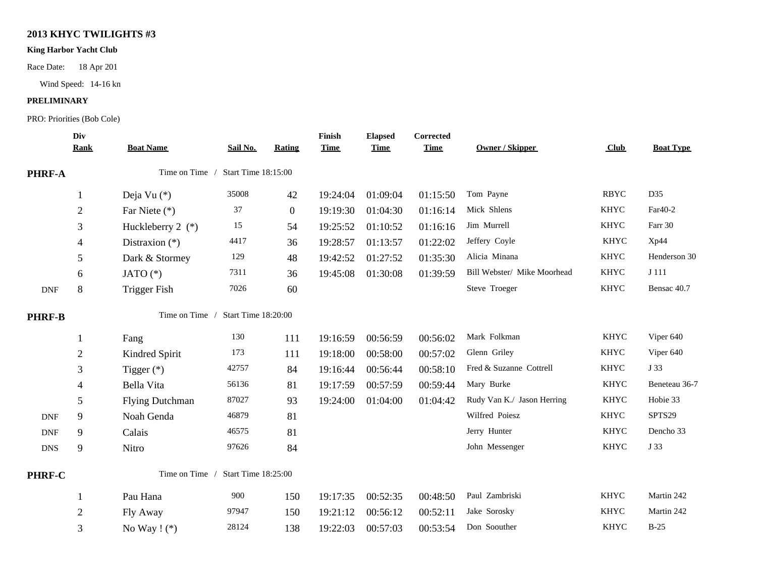## **2013 KHYC TWILIGHTS #3**

### **King Harbor Yacht Club**

Race Date: 18 Apr 201

Wind Speed: 14-16 kn

#### **PRELIMINARY**

PRO: Priorities (Bob Cole)

|               | Div<br><b>Rank</b> | <b>Boat Name</b>    | Sail No.                   | Rating       | Finish<br><b>Time</b> | <b>Elapsed</b><br><b>Time</b> | <b>Corrected</b><br><b>Time</b> | <b>Owner / Skipper</b>      | <b>Club</b> | <b>Boat Type</b> |
|---------------|--------------------|---------------------|----------------------------|--------------|-----------------------|-------------------------------|---------------------------------|-----------------------------|-------------|------------------|
| PHRF-A        |                    | Time on Time /      | <b>Start Time 18:15:00</b> |              |                       |                               |                                 |                             |             |                  |
|               | $\mathbf{1}$       | Deja Vu $(*)$       | 35008                      | 42           | 19:24:04              | 01:09:04                      | 01:15:50                        | Tom Payne                   | <b>RBYC</b> | D35              |
|               | $\sqrt{2}$         | Far Niete (*)       | $37\,$                     | $\mathbf{0}$ | 19:19:30              | 01:04:30                      | 01:16:14                        | Mick Shlens                 | <b>KHYC</b> | Far40-2          |
|               | 3                  | Huckleberry 2 $(*)$ | 15                         | 54           | 19:25:52              | 01:10:52                      | 01:16:16                        | Jim Murrell                 | <b>KHYC</b> | Farr 30          |
|               | 4                  | Distraxion $(*)$    | 4417                       | 36           | 19:28:57              | 01:13:57                      | 01:22:02                        | Jeffery Coyle               | <b>KHYC</b> | Xp44             |
|               | 5                  | Dark & Stormey      | 129                        | 48           | 19:42:52              | 01:27:52                      | 01:35:30                        | Alicia Minana               | <b>KHYC</b> | Henderson 30     |
|               | 6                  | JATO $(*)$          | 7311                       | 36           | 19:45:08              | 01:30:08                      | 01:39:59                        | Bill Webster/ Mike Moorhead | <b>KHYC</b> | J 111            |
| <b>DNF</b>    | 8                  | <b>Trigger Fish</b> | 7026                       | 60           |                       |                               |                                 | Steve Troeger               | <b>KHYC</b> | Bensac 40.7      |
| <b>PHRF-B</b> |                    | Time on Time /      | Start Time 18:20:00        |              |                       |                               |                                 |                             |             |                  |
|               | 1                  | Fang                | 130                        | 111          | 19:16:59              | 00:56:59                      | 00:56:02                        | Mark Folkman                | <b>KHYC</b> | Viper 640        |
|               | $\overline{2}$     | Kindred Spirit      | 173                        | 111          | 19:18:00              | 00:58:00                      | 00:57:02                        | Glenn Griley                | <b>KHYC</b> | Viper 640        |
|               | 3                  | Tigger $(*)$        | 42757                      | 84           | 19:16:44              | 00:56:44                      | 00:58:10                        | Fred & Suzanne Cottrell     | <b>KHYC</b> | J 33             |
|               | 4                  | Bella Vita          | 56136                      | 81           | 19:17:59              | 00:57:59                      | 00:59:44                        | Mary Burke                  | <b>KHYC</b> | Beneteau 36-7    |
|               | 5                  | Flying Dutchman     | 87027                      | 93           | 19:24:00              | 01:04:00                      | 01:04:42                        | Rudy Van K./ Jason Herring  | <b>KHYC</b> | Hobie 33         |
| <b>DNF</b>    | 9                  | Noah Genda          | 46879                      | 81           |                       |                               |                                 | Wilfred Poiesz              | <b>KHYC</b> | SPTS29           |
| <b>DNF</b>    | 9                  | Calais              | 46575                      | 81           |                       |                               |                                 | Jerry Hunter                | <b>KHYC</b> | Dencho 33        |
| <b>DNS</b>    | 9                  | Nitro               | 97626                      | 84           |                       |                               |                                 | John Messenger              | <b>KHYC</b> | J 33             |
| PHRF-C        |                    | Time on Time /      | Start Time 18:25:00        |              |                       |                               |                                 |                             |             |                  |
|               | 1                  | Pau Hana            | 900                        | 150          | 19:17:35              | 00:52:35                      | 00:48:50                        | Paul Zambriski              | <b>KHYC</b> | Martin 242       |
|               | $\sqrt{2}$         | Fly Away            | 97947                      | 150          | 19:21:12              | 00:56:12                      | 00:52:11                        | Jake Sorosky                | <b>KHYC</b> | Martin 242       |
|               | 3                  | No Way $!$ (*)      | 28124                      | 138          | 19:22:03              | 00:57:03                      | 00:53:54                        | Don Soouther                | <b>KHYC</b> | $B-25$           |